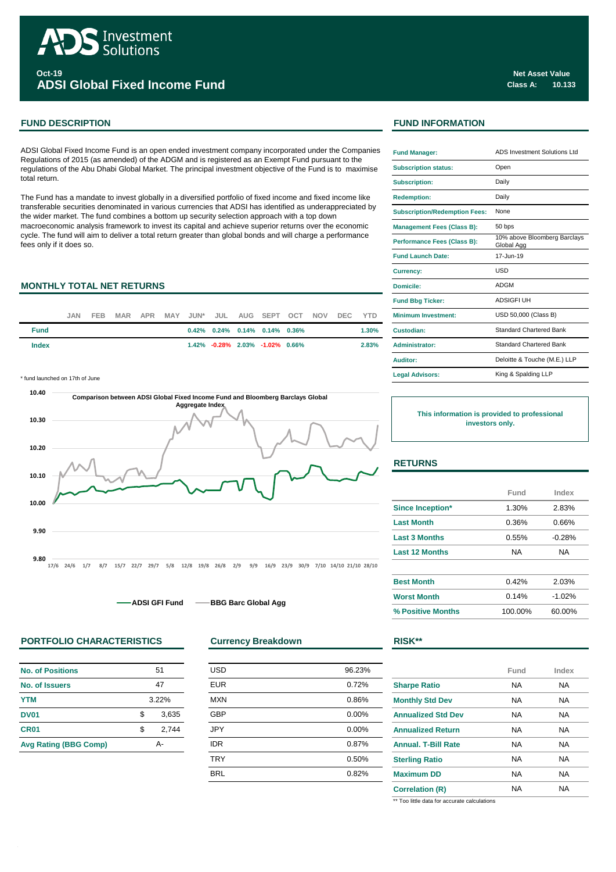

**Oct-19 ADSI Global Fixed Income Fund**

# **FUND DESCRIPTION FUND INFORMATION**

ADSI Global Fixed Income Fund is an open ended investment company incorporated under the Companies Regulations of 2015 (as amended) of the ADGM and is registered as an Exempt Fund pursuant to the regulations of the Abu Dhabi Global Market. The principal investment objective of the Fund is to maximise total return.

The Fund has a mandate to invest globally in a diversified portfolio of fixed income and fixed income like transferable securities denominated in various currencies that ADSI has identified as underappreciated by the wider market. The fund combines a bottom up security selection approach with a top down macroeconomic analysis framework to invest its capital and achieve superior returns over the economic cycle. The fund will aim to deliver a total return greater than global bonds and will charge a performance fees only if it does so.

## **MONTHLY TOTAL NET RETURNS**

|             | JAN. | FEB. |  |  |  | MAR APR MAY JUN* JUL AUG SEPT OCT NOV        |  | DEC YTD |       | <b>Minimum Investment:</b> |
|-------------|------|------|--|--|--|----------------------------------------------|--|---------|-------|----------------------------|
| <b>Fund</b> |      |      |  |  |  | $0.42\%$ $0.24\%$ $0.14\%$ $0.14\%$ $0.36\%$ |  |         | 1.30% | Custodian:                 |
| Index       |      |      |  |  |  | $1.42\%$ -0.28% 2.03% -1.02% 0.66%           |  |         | 2.83% | Administrator:             |

\* fund launched on 17th of June



**ADSI GFI Fund 
<br>
ADSI GFI Fund 

BBG Barc Global Agg** 

## **PORTFOLIO CHARACTERISTICS Currency Breakdown RISK\*\***

| <b>No. of Positions</b>      |    | 51    |  |
|------------------------------|----|-------|--|
| No. of Issuers               |    | 47    |  |
| <b>YTM</b>                   |    | 3.22% |  |
| <b>DV01</b>                  | \$ | 3,635 |  |
| <b>CR01</b>                  | \$ | 2,744 |  |
| <b>Avg Rating (BBG Comp)</b> | А- |       |  |

| 51 |       | <b>USD</b> | 96.23% |  |
|----|-------|------------|--------|--|
| 47 |       | <b>EUR</b> | 0.72%  |  |
|    | 3.22% | <b>MXN</b> | 0.86%  |  |
| \$ | 3,635 | <b>GBP</b> | 0.00%  |  |
| \$ | 2,744 | <b>JPY</b> | 0.00%  |  |
|    | А-    | <b>IDR</b> | 0.87%  |  |
|    |       | <b>TRY</b> | 0.50%  |  |
|    |       | <b>BRL</b> | 0.82%  |  |
|    |       |            |        |  |

| <b>Fund Manager:</b>                 | <b>ADS Investment Solutions Ltd</b>        |
|--------------------------------------|--------------------------------------------|
| <b>Subscription status:</b>          | Open                                       |
| <b>Subscription:</b>                 | Daily                                      |
| <b>Redemption:</b>                   | Daily                                      |
| <b>Subscription/Redemption Fees:</b> | None                                       |
| <b>Management Fees (Class B):</b>    | 50 bps                                     |
| Performance Fees (Class B):          | 10% above Bloomberg Barclays<br>Global Agg |
| <b>Fund Launch Date:</b>             | 17-Jun-19                                  |
| <b>Currency:</b>                     | USD                                        |
| Domicile:                            | <b>ADGM</b>                                |
| <b>Fund Bbg Ticker:</b>              | <b>ADSIGFI UH</b>                          |
| <b>Minimum Investment:</b>           | USD 50,000 (Class B)                       |
| Custodian:                           | <b>Standard Chartered Bank</b>             |
| <b>Administrator:</b>                | <b>Standard Chartered Bank</b>             |
| Auditor:                             | Deloitte & Touche (M.E.) LLP               |
| <b>Legal Advisors:</b>               | King & Spalding LLP                        |

**This information is provided to professional investors only.**

## **RETURNS**

|                       | Fund    | Index    |
|-----------------------|---------|----------|
| Since Inception*      | 1.30%   | 2.83%    |
| <b>Last Month</b>     | 0.36%   | 0.66%    |
| <b>Last 3 Months</b>  | 0.55%   | $-0.28%$ |
| <b>Last 12 Months</b> | NA.     | NA.      |
|                       |         |          |
| <b>Best Month</b>     | 0.42%   | 2.03%    |
| <b>Worst Month</b>    | 0.14%   | $-1.02%$ |
| % Positive Months     | 100.00% | 60.00%   |

|                            | Fund | Index |
|----------------------------|------|-------|
| <b>Sharpe Ratio</b>        | NА   | NA    |
| <b>Monthly Std Dev</b>     | NА   | NA    |
| <b>Annualized Std Dev</b>  | NA   | NA    |
| <b>Annualized Return</b>   | NA   | NA    |
| <b>Annual, T-Bill Rate</b> | NA   | NA    |
| <b>Sterling Ratio</b>      | NA   | NA    |
| <b>Maximum DD</b>          | NА   | NA    |
| <b>Correlation (R)</b>     | NA   | NA    |

\*\* Too little data for accurate calculations